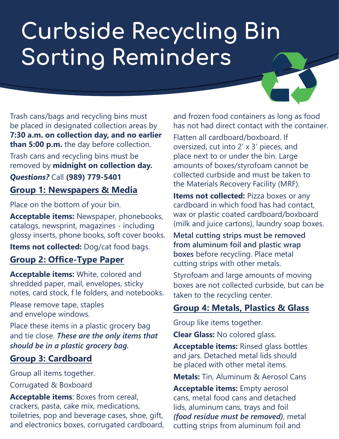# **Curbside Recycling Bin Sorting Reminders**

Trash cans/bags and recycling bins must be placed in designated collection areas by **7:30 a.m. on collection day, and no earlier than 5:00 p.m.** the day before collection.

Trash cans and recycling bins must be removed by **midnight on collection day.**

*Questions?* Call **(989) 779-5401 Group 1: Newspapers & Media**

Place on the bottom of your bin.

**Acceptable items:** Newspaper, phonebooks, catalogs, newsprint, magazines - including glossy inserts, phone books, soft cover books.

**Items not collected:** Dog/cat food bags.

### **Group 2: Office-Type Paper**

**Acceptable items:** White, colored and shredded paper, mail, envelopes, sticky notes, card stock, f le folders, and notebooks.

Please remove tape, staples and envelope windows.

Place these items in a plastic grocery bag and tie close. *These are the only items that should be in a plastic grocery bag.*

#### **Group 3: Cardboard**

Group all items together.

Corrugated & Boxboard

**Acceptable items**: Boxes from cereal, crackers, pasta, cake mix, medications, toiletries, pop and beverage cases, shoe, gift, and electronics boxes, corrugated cardboard, and frozen food containers as long as food has not had direct contact with the container.

Flatten all cardboard/boxboard. If oversized, cut into 2' x 3' pieces, and place next to or under the bin. Large amounts of boxes/styrofoam cannot be collected curbside and must be taken to the Materials Recovery Facility (MRF).

**Items not collected:** Pizza boxes or any cardboard in which food has had contact, wax or plastic coated cardboard/boxboard (milk and juice cartons), laundry soap boxes.

**Metal cutting strips must be removed from aluminum foil and plastic wrap boxes** before recycling. Place metal cutting strips with other metals.

Styrofoam and large amounts of moving boxes are not collected curbside, but can be taken to the recycling center.

### **Group 4: Metals, Plastics & Glass**

Group like items together.

**Clear Glass:** No colored glass.

**Acceptable items:** Rinsed glass bottles and jars. Detached metal lids should be placed with other metal items.

**Metals:** Tin, Aluminum & Aerosol Cans

**Acceptable items:** Empty aerosol cans, metal food cans and detached lids, aluminum cans, trays and foil *(food residue must be removed)*, metal cutting strips from aluminum foil and